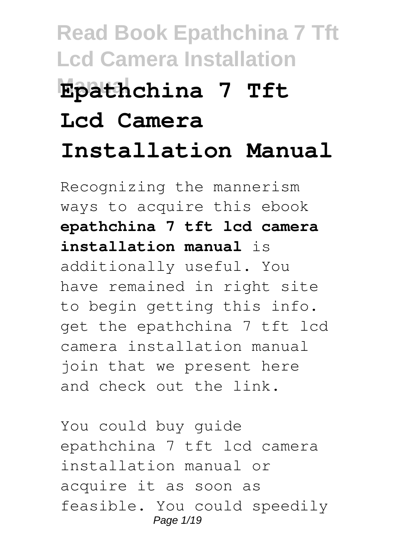# **Read Book Epathchina 7 Tft Lcd Camera Installation Manual Epathchina 7 Tft Lcd Camera Installation Manual**

Recognizing the mannerism ways to acquire this ebook **epathchina 7 tft lcd camera installation manual** is additionally useful. You have remained in right site to begin getting this info. get the epathchina 7 tft lcd camera installation manual join that we present here and check out the link.

You could buy guide epathchina 7 tft lcd camera installation manual or acquire it as soon as feasible. You could speedily Page 1/19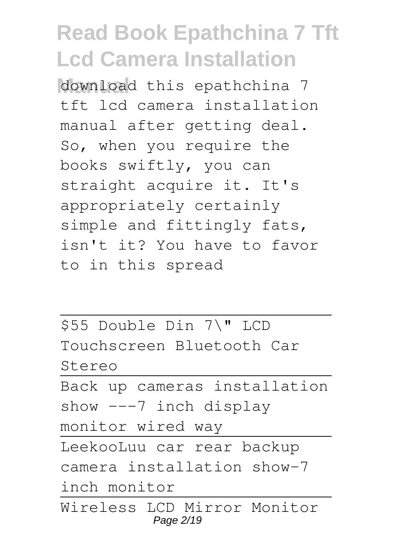**Manual** download this epathchina 7 tft lcd camera installation manual after getting deal. So, when you require the books swiftly, you can straight acquire it. It's appropriately certainly simple and fittingly fats, isn't it? You have to favor to in this spread

\$55 Double Din 7\" LCD Touchscreen Bluetooth Car Stereo

Back up cameras installation show ---7 inch display

monitor wired way

LeekooLuu car rear backup camera installation show-7 inch monitor

Wireless LCD Mirror Monitor Page 2/19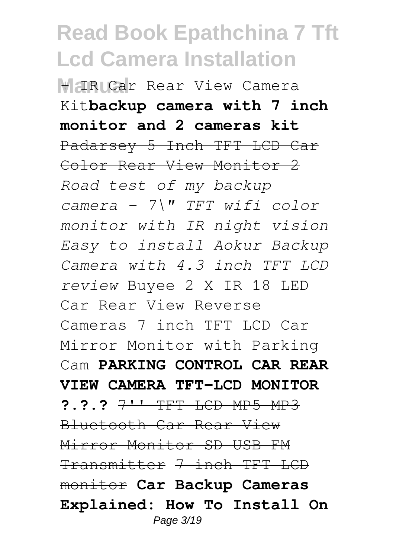**H IRICar** Rear View Camera Kit**backup camera with 7 inch monitor and 2 cameras kit** Padarsey 5 Inch TFT LCD Car Color Rear View Monitor 2 *Road test of my backup camera - 7\" TFT wifi color monitor with IR night vision Easy to install Aokur Backup Camera with 4.3 inch TFT LCD review* Buyee 2 X IR 18 LED Car Rear View Reverse Cameras 7 inch TFT LCD Car Mirror Monitor with Parking Cam **PARKING CONTROL CAR REAR VIEW CAMERA TFT-LCD MONITOR ?.?.?** 7'' TFT LCD MP5 MP3 Bluetooth Car Rear View Mirror Monitor SD USB FM Transmitter 7 inch TFT LCD monitor **Car Backup Cameras Explained: How To Install On** Page 3/19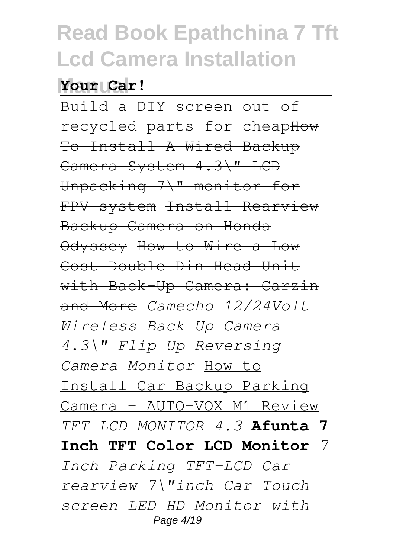#### **Manual Your Car!**

Build a DIY screen out of recycled parts for cheapHow To Install A Wired Backup Camera System 4.3\" LCD Unpacking 7\" monitor for FPV system Install Rearview Backup Camera on Honda Odyssey How to Wire a Low Cost Double-Din Head Unit with Back-Up Camera: Carzin and More *Camecho 12/24Volt Wireless Back Up Camera 4.3\" Flip Up Reversing Camera Monitor* How to Install Car Backup Parking Camera - AUTO-VOX M1 Review *TFT LCD MONITOR 4.3* **Afunta 7 Inch TFT Color LCD Monitor** *7 Inch Parking TFT-LCD Car rearview 7\"inch Car Touch screen LED HD Monitor with* Page 4/19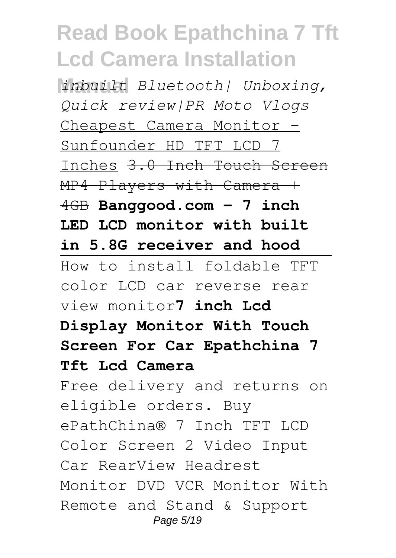**Manual** *inbuilt Bluetooth| Unboxing, Quick review|PR Moto Vlogs* Cheapest Camera Monitor - Sunfounder HD TFT LCD 7 Inches 3.0 Inch Touch Screen MP4 Players with Camera + 4GB **Banggood.com - 7 inch LED LCD monitor with built in 5.8G receiver and hood** How to install foldable TFT color LCD car reverse rear view monitor**7 inch Lcd Display Monitor With Touch Screen For Car Epathchina 7 Tft Lcd Camera** Free delivery and returns on eligible orders. Buy ePathChina® 7 Inch TFT LCD Color Screen 2 Video Input Car RearView Headrest Monitor DVD VCR Monitor With Remote and Stand & Support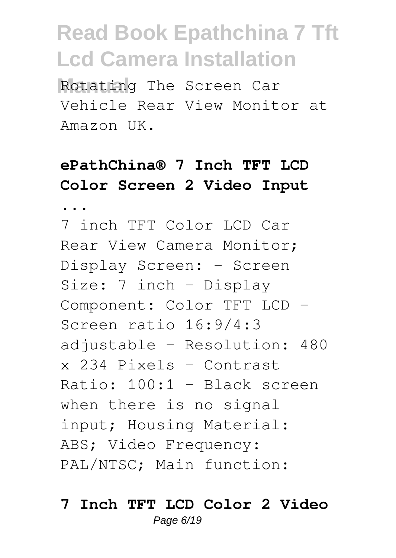**Manual** Rotating The Screen Car Vehicle Rear View Monitor at Amazon UK.

### **ePathChina® 7 Inch TFT LCD Color Screen 2 Video Input**

**...**

7 inch TFT Color LCD Car Rear View Camera Monitor; Display Screen: - Screen Size: 7 inch - Display Component: Color TFT LCD - Screen ratio 16:9/4:3 adjustable - Resolution: 480 x 234 Pixels - Contrast Ratio: 100:1 - Black screen when there is no signal input; Housing Material: ABS; Video Frequency: PAL/NTSC; Main function:

#### **7 Inch TFT LCD Color 2 Video** Page 6/19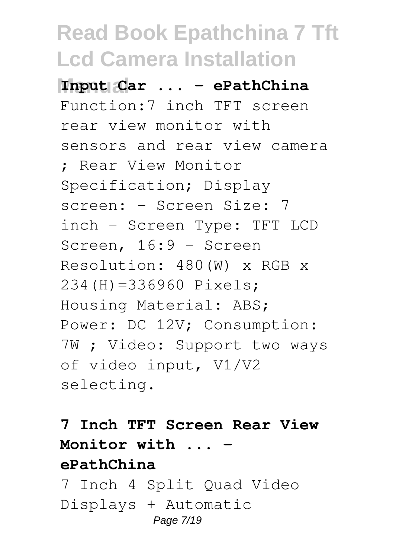**Manual Input Car ... - ePathChina** Function:7 inch TFT screen rear view monitor with sensors and rear view camera ; Rear View Monitor Specification; Display screen: - Screen Size: 7 inch - Screen Type: TFT LCD Screen, 16:9 - Screen Resolution: 480(W) x RGB x 234(H)=336960 Pixels; Housing Material: ABS; Power: DC 12V; Consumption: 7W ; Video: Support two ways of video input, V1/V2 selecting.

### **7 Inch TFT Screen Rear View Monitor with ... ePathChina**

7 Inch 4 Split Quad Video Displays + Automatic Page 7/19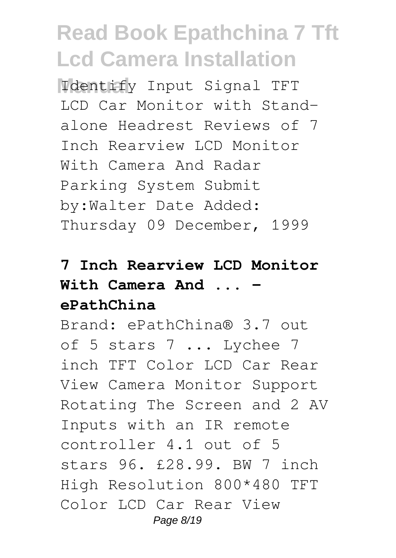**Manual** Identify Input Signal TFT LCD Car Monitor with Standalone Headrest Reviews of 7 Inch Rearview LCD Monitor With Camera And Radar Parking System Submit by:Walter Date Added: Thursday 09 December, 1999

#### **7 Inch Rearview LCD Monitor** With Camera And ... **ePathChina**

Brand: ePathChina® 3.7 out of 5 stars 7 ... Lychee 7 inch TFT Color LCD Car Rear View Camera Monitor Support Rotating The Screen and 2 AV Inputs with an IR remote controller 4.1 out of 5 stars 96. £28.99. BW 7 inch High Resolution 800\*480 TFT Color LCD Car Rear View Page 8/19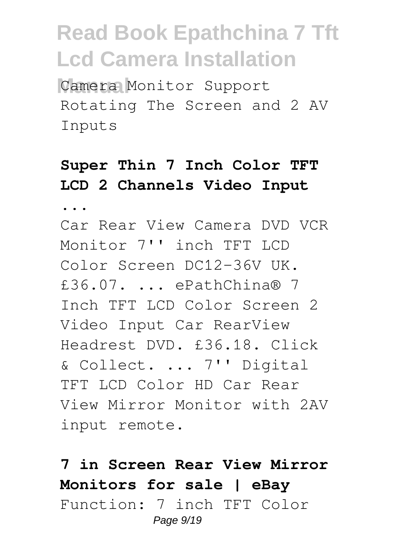Camera Monitor Support Rotating The Screen and 2 AV Inputs

### **Super Thin 7 Inch Color TFT LCD 2 Channels Video Input**

**...**

Car Rear View Camera DVD VCR Monitor 7'' inch TFT LCD Color Screen DC12-36V UK. £36.07. ... ePathChina® 7 Inch TFT LCD Color Screen 2 Video Input Car RearView Headrest DVD. £36.18. Click & Collect. ... 7'' Digital TFT LCD Color HD Car Rear View Mirror Monitor with 2AV input remote.

#### **7 in Screen Rear View Mirror Monitors for sale | eBay** Function: 7 inch TFT Color Page 9/19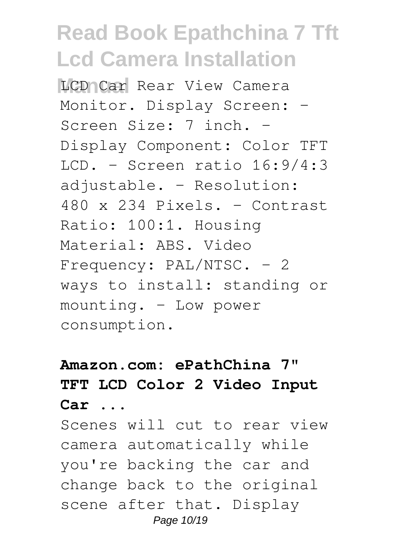**MCD Car Rear View Camera** Monitor. Display Screen: -Screen Size: 7 inch. - Display Component: Color TFT  $LCD. - Screen ratio 16:9/4:3$ adjustable. - Resolution: 480 x 234 Pixels. - Contrast Ratio: 100:1. Housing Material: ABS. Video Frequency: PAL/NTSC. - 2 ways to install: standing or mounting. - Low power consumption.

### **Amazon.com: ePathChina 7" TFT LCD Color 2 Video Input Car ...**

Scenes will cut to rear view camera automatically while you're backing the car and change back to the original scene after that. Display Page 10/19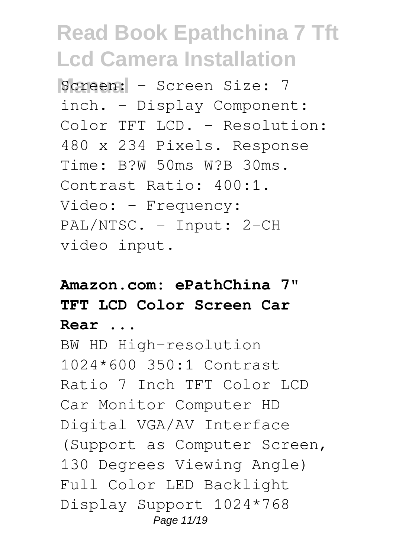**Screen:** - Screen Size: 7 inch. - Display Component: Color TFT LCD. - Resolution: 480 x 234 Pixels. Response Time: B?W 50ms W?B 30ms. Contrast Ratio: 400:1. Video: - Frequency: PAL/NTSC. - Input: 2-CH video input.

### **Amazon.com: ePathChina 7" TFT LCD Color Screen Car Rear ...**

BW HD High-resolution 1024\*600 350:1 Contrast Ratio 7 Inch TFT Color LCD Car Monitor Computer HD Digital VGA/AV Interface (Support as Computer Screen, 130 Degrees Viewing Angle) Full Color LED Backlight Display Support 1024\*768 Page 11/19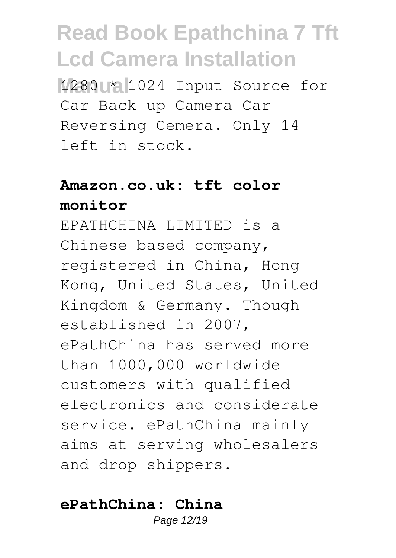**Manual** 1280 \* 1024 Input Source for Car Back up Camera Car Reversing Cemera. Only 14 left in stock.

#### **Amazon.co.uk: tft color monitor**

EPATHCHINA LIMITED is a Chinese based company, registered in China, Hong Kong, United States, United Kingdom & Germany. Though established in 2007, ePathChina has served more than 1000,000 worldwide customers with qualified electronics and considerate service. ePathChina mainly aims at serving wholesalers and drop shippers.

#### **ePathChina: China**

Page 12/19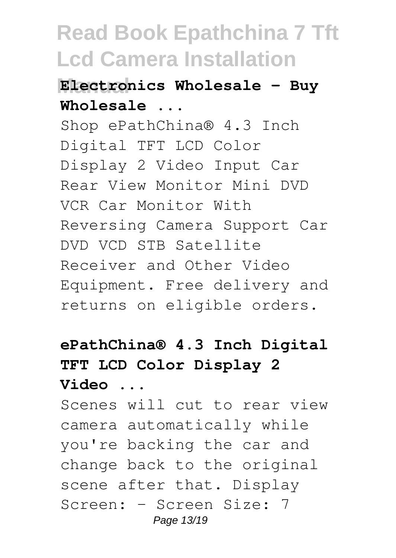#### **Manual Electronics Wholesale - Buy Wholesale ...**

Shop ePathChina® 4.3 Inch Digital TFT LCD Color Display 2 Video Input Car Rear View Monitor Mini DVD VCR Car Monitor With Reversing Camera Support Car DVD VCD STB Satellite Receiver and Other Video Equipment. Free delivery and returns on eligible orders.

### **ePathChina® 4.3 Inch Digital TFT LCD Color Display 2 Video ...**

Scenes will cut to rear view camera automatically while you're backing the car and change back to the original scene after that. Display Screen: - Screen Size: 7 Page 13/19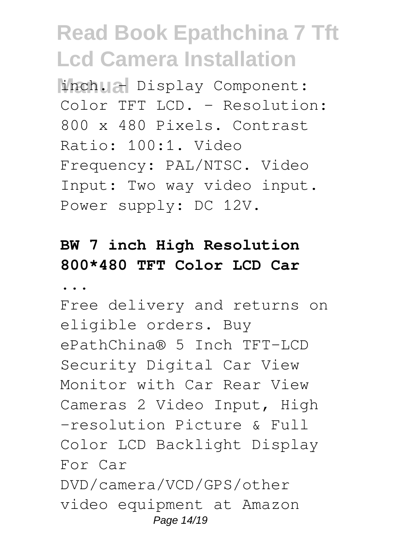**Minch. All Display Component:** Color TFT LCD. - Resolution: 800 x 480 Pixels. Contrast Ratio: 100:1. Video Frequency: PAL/NTSC. Video Input: Two way video input. Power supply: DC 12V.

### **BW 7 inch High Resolution 800\*480 TFT Color LCD Car**

**...**

Free delivery and returns on eligible orders. Buy ePathChina® 5 Inch TFT-LCD Security Digital Car View Monitor with Car Rear View Cameras 2 Video Input, High -resolution Picture & Full Color LCD Backlight Display For Car DVD/camera/VCD/GPS/other video equipment at Amazon Page 14/19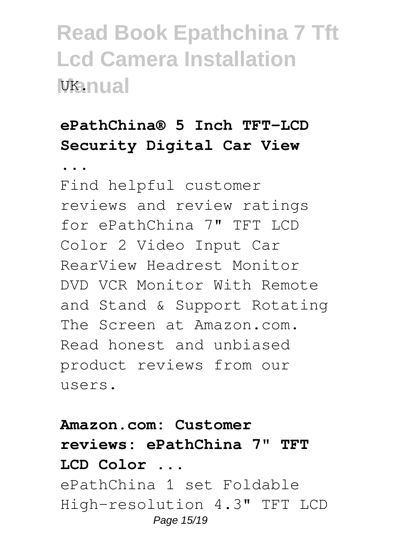### **ePathChina® 5 Inch TFT-LCD Security Digital Car View**

**...**

Find helpful customer reviews and review ratings for ePathChina 7" TFT LCD Color 2 Video Input Car RearView Headrest Monitor DVD VCR Monitor With Remote and Stand & Support Rotating The Screen at Amazon.com. Read honest and unbiased product reviews from our users.

**Amazon.com: Customer reviews: ePathChina 7" TFT LCD Color ...** ePathChina 1 set Foldable High-resolution 4.3" TFT LCD Page 15/19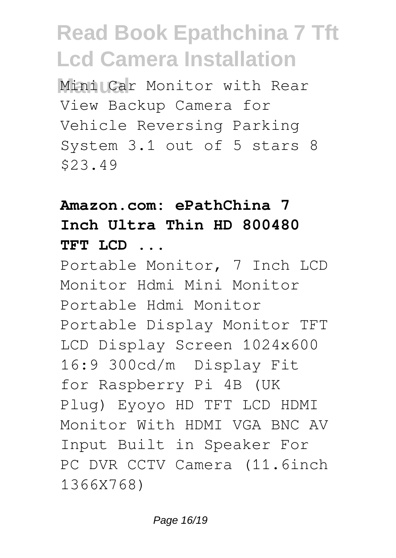Mini Car Monitor with Rear View Backup Camera for Vehicle Reversing Parking System 3.1 out of 5 stars 8 \$23.49

### **Amazon.com: ePathChina 7 Inch Ultra Thin HD 800480 TFT LCD ...**

Portable Monitor, 7 Inch LCD Monitor Hdmi Mini Monitor Portable Hdmi Monitor Portable Display Monitor TFT LCD Display Screen 1024x600 16:9 300cd/m² Display Fit for Raspberry Pi 4B (UK Plug) Eyoyo HD TFT LCD HDMI Monitor With HDMI VGA BNC AV Input Built in Speaker For PC DVR CCTV Camera (11.6inch 1366X768)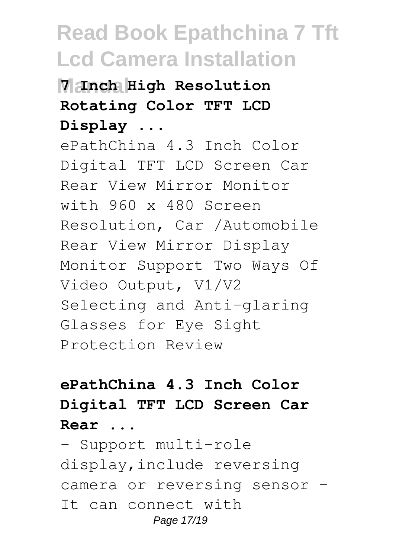### **Manual 7 Inch High Resolution Rotating Color TFT LCD Display ...**

ePathChina 4.3 Inch Color Digital TFT LCD Screen Car Rear View Mirror Monitor with 960 x 480 Screen Resolution, Car /Automobile Rear View Mirror Display Monitor Support Two Ways Of Video Output, V1/V2 Selecting and Anti-glaring Glasses for Eye Sight Protection Review

### **ePathChina 4.3 Inch Color Digital TFT LCD Screen Car Rear ...**

- Support multi-role display,include reversing camera or reversing sensor -It can connect with Page 17/19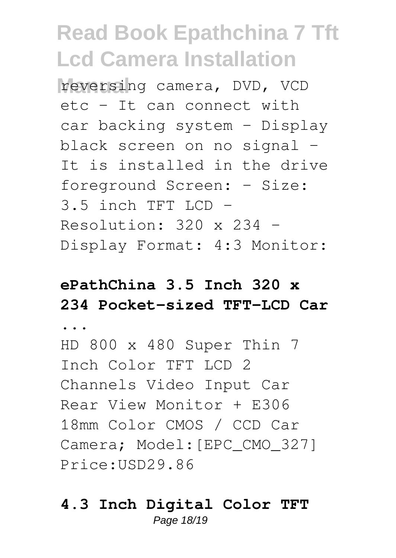**Manual** reversing camera, DVD, VCD etc - It can connect with car backing system - Display black screen on no signal - It is installed in the drive foreground Screen: - Size:  $3.5$  inch TFT LCD  $-$ Resolution:  $320 \times 234$  -Display Format: 4:3 Monitor:

### **ePathChina 3.5 Inch 320 x 234 Pocket-sized TFT-LCD Car**

**...**

HD 800 x 480 Super Thin 7 Inch Color TFT LCD 2 Channels Video Input Car Rear View Monitor + E306 18mm Color CMOS / CCD Car Camera; Model: [EPC CMO 327] Price:USD29.86

#### **4.3 Inch Digital Color TFT** Page 18/19